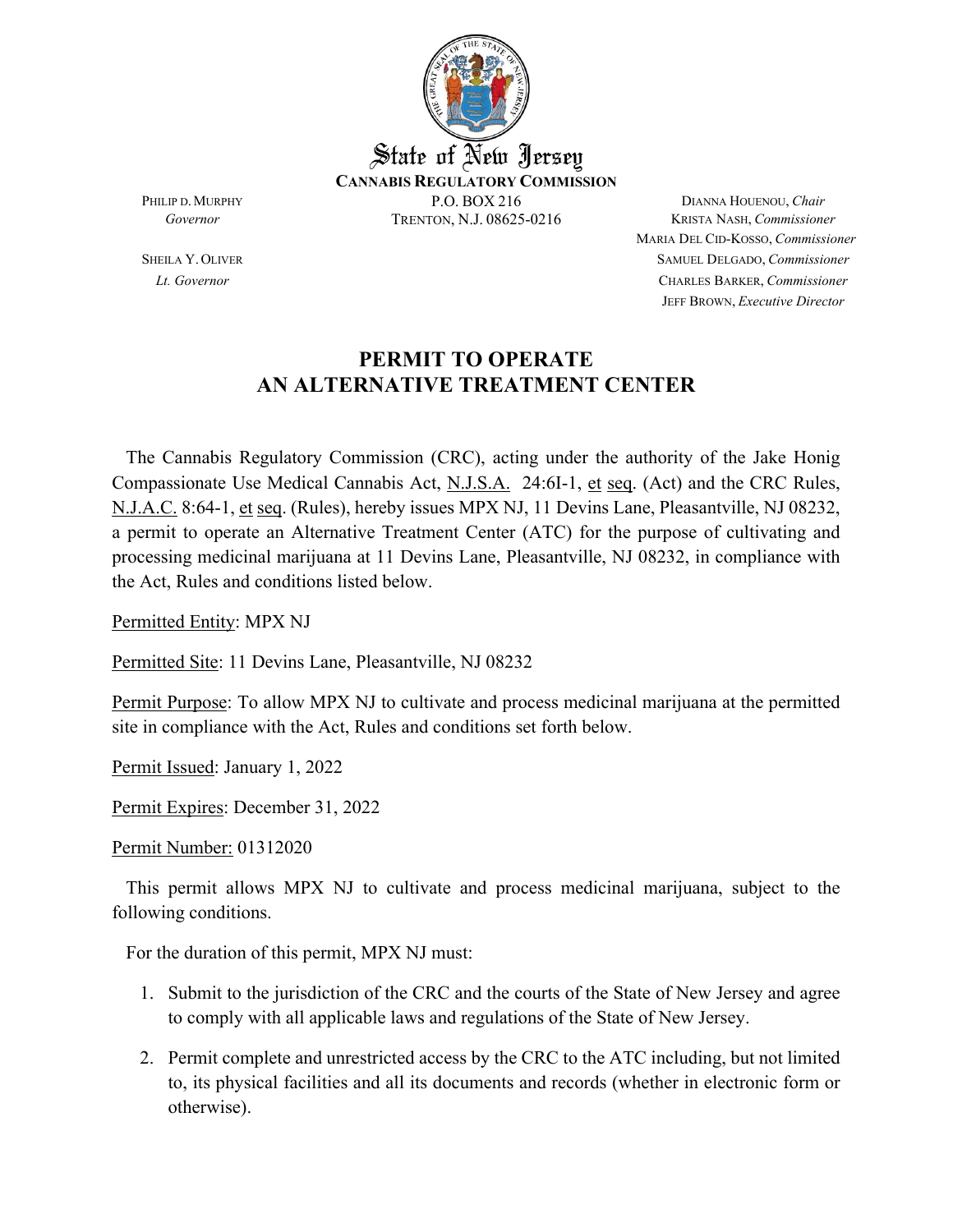

MARIA DEL CID-KOSSO, *Commissioner* SHEILA Y.OLIVER SAMUEL DELGADO, *Commissioner Lt. Governor* CHARLES BARKER, *Commissioner* JEFF BROWN, *Executive Director*

### **PERMIT TO OPERATE AN ALTERNATIVE TREATMENT CENTER**

 The Cannabis Regulatory Commission (CRC), acting under the authority of the Jake Honig Compassionate Use Medical Cannabis Act, N.J.S.A. 24:6I-1, et seq. (Act) and the CRC Rules, N.J.A.C. 8:64-1, et seq. (Rules), hereby issues MPX NJ, 11 Devins Lane, Pleasantville, NJ 08232, a permit to operate an Alternative Treatment Center (ATC) for the purpose of cultivating and processing medicinal marijuana at 11 Devins Lane, Pleasantville, NJ 08232, in compliance with the Act, Rules and conditions listed below.

Permitted Entity: MPX NJ

Permitted Site: 11 Devins Lane, Pleasantville, NJ 08232

Permit Purpose: To allow MPX NJ to cultivate and process medicinal marijuana at the permitted site in compliance with the Act, Rules and conditions set forth below.

Permit Issued: January 1, 2022

Permit Expires: December 31, 2022

Permit Number: 01312020

 This permit allows MPX NJ to cultivate and process medicinal marijuana, subject to the following conditions.

For the duration of this permit, MPX NJ must:

- 1. Submit to the jurisdiction of the CRC and the courts of the State of New Jersey and agree to comply with all applicable laws and regulations of the State of New Jersey.
- 2. Permit complete and unrestricted access by the CRC to the ATC including, but not limited to, its physical facilities and all its documents and records (whether in electronic form or otherwise).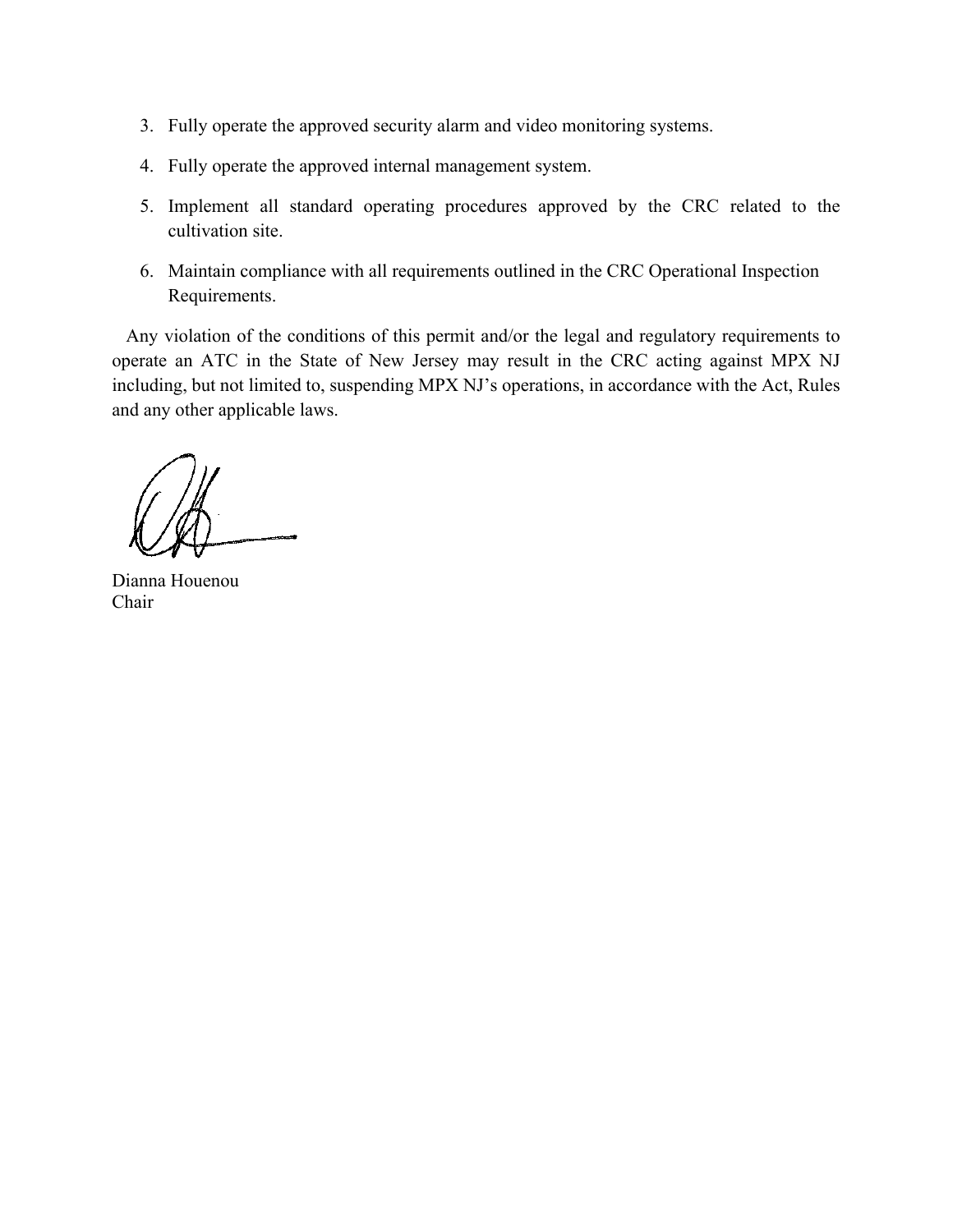- 3. Fully operate the approved security alarm and video monitoring systems.
- 4. Fully operate the approved internal management system.
- 5. Implement all standard operating procedures approved by the CRC related to the cultivation site.
- 6. Maintain compliance with all requirements outlined in the CRC Operational Inspection Requirements.

 Any violation of the conditions of this permit and/or the legal and regulatory requirements to operate an ATC in the State of New Jersey may result in the CRC acting against MPX NJ including, but not limited to, suspending MPX NJ's operations, in accordance with the Act, Rules and any other applicable laws.

Dianna Houenou Chair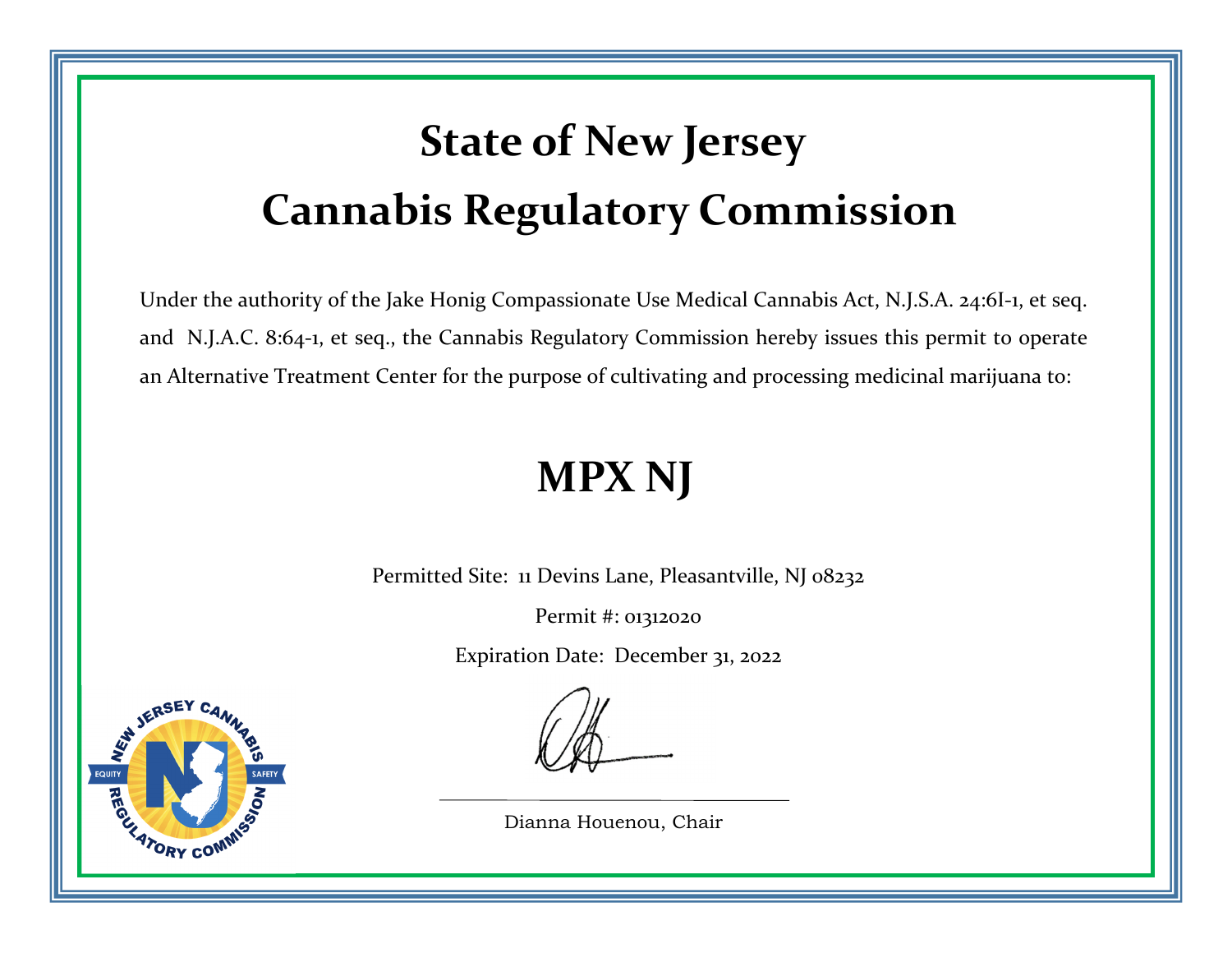# **State of New Jersey Cannabis Regulatory Commission**

Under the authority of the Jake Honig Compassionate Use Medical Cannabis Act, N.J.S.A. 24:6I‐1, et seq. and N.J.A.C. 8:64‐1, et seq., the Cannabis Regulatory Commission hereby issues this permit to operate an Alternative Treatment Center for the purpose of cultivating and processing medicinal marijuana to:

## **MPX NJ**

Permitted Site: 11 Devins Lane, Pleasantville, NJ 08232

Permit #: 01312020

Expiration Date: December 31, 2022



**EQUIT** 

Dianna Houenou, Chair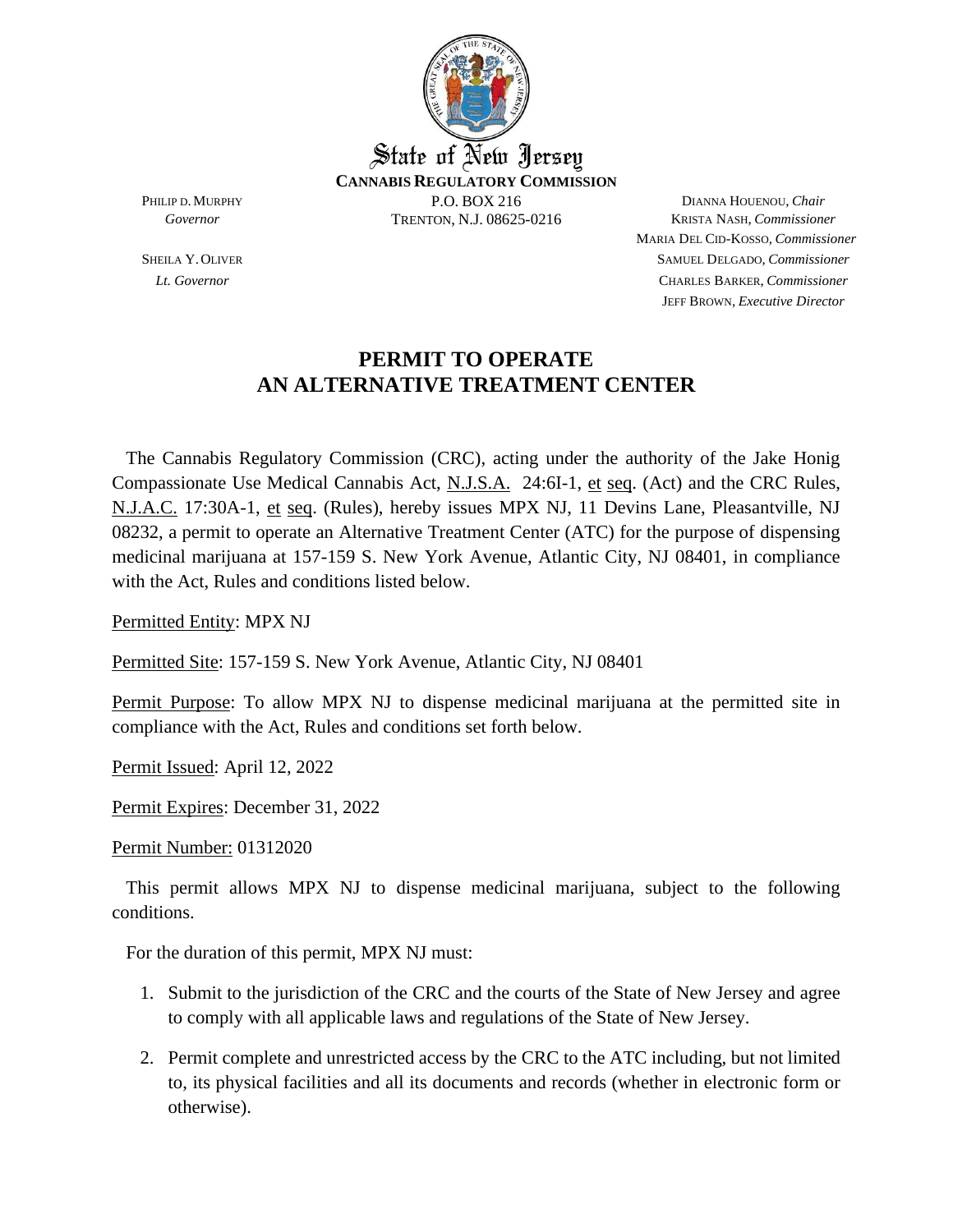

MARIA DEL CID-KOSSO, *Commissioner* SHEILA Y.OLIVER SAMUEL DELGADO, *Commissioner Lt. Governor* CHARLES BARKER, *Commissioner* JEFF BROWN, *Executive Director*

#### **PERMIT TO OPERATE AN ALTERNATIVE TREATMENT CENTER**

 The Cannabis Regulatory Commission (CRC), acting under the authority of the Jake Honig Compassionate Use Medical Cannabis Act, N.J.S.A. 24:6I-1, et seq. (Act) and the CRC Rules, N.J.A.C. 17:30A-1, et seq. (Rules), hereby issues MPX NJ, 11 Devins Lane, Pleasantville, NJ 08232, a permit to operate an Alternative Treatment Center (ATC) for the purpose of dispensing medicinal marijuana at 157-159 S. New York Avenue, Atlantic City, NJ 08401, in compliance with the Act, Rules and conditions listed below.

Permitted Entity: MPX NJ

Permitted Site: 157-159 S. New York Avenue, Atlantic City, NJ 08401

Permit Purpose: To allow MPX NJ to dispense medicinal marijuana at the permitted site in compliance with the Act, Rules and conditions set forth below.

Permit Issued: April 12, 2022

Permit Expires: December 31, 2022

Permit Number: 01312020

 This permit allows MPX NJ to dispense medicinal marijuana, subject to the following conditions.

For the duration of this permit, MPX NJ must:

- 1. Submit to the jurisdiction of the CRC and the courts of the State of New Jersey and agree to comply with all applicable laws and regulations of the State of New Jersey.
- 2. Permit complete and unrestricted access by the CRC to the ATC including, but not limited to, its physical facilities and all its documents and records (whether in electronic form or otherwise).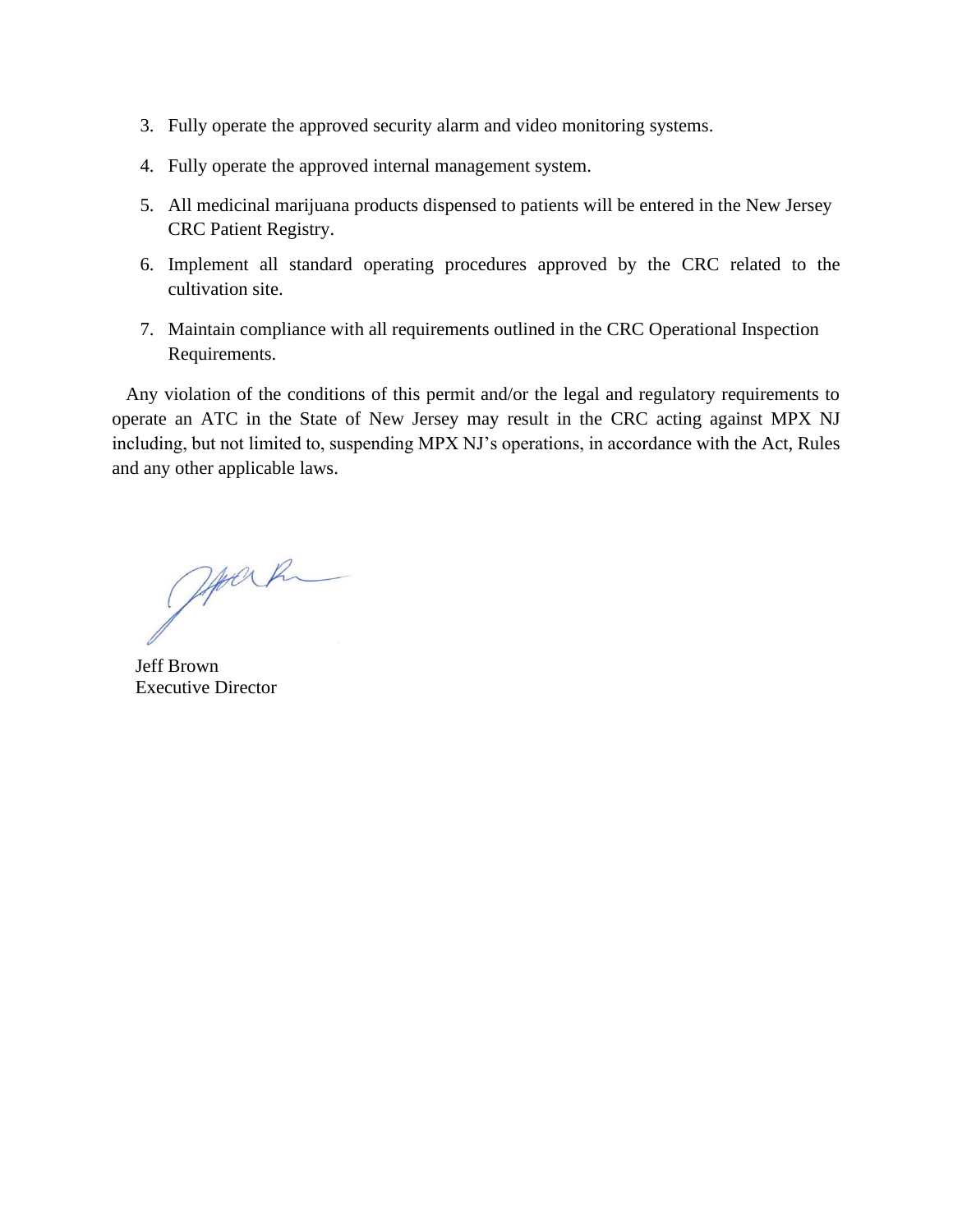- 3. Fully operate the approved security alarm and video monitoring systems.
- 4. Fully operate the approved internal management system.
- 5. All medicinal marijuana products dispensed to patients will be entered in the New Jersey CRC Patient Registry.
- 6. Implement all standard operating procedures approved by the CRC related to the cultivation site.
- 7. Maintain compliance with all requirements outlined in the CRC Operational Inspection Requirements.

 Any violation of the conditions of this permit and/or the legal and regulatory requirements to operate an ATC in the State of New Jersey may result in the CRC acting against MPX NJ including, but not limited to, suspending MPX NJ's operations, in accordance with the Act, Rules and any other applicable laws.

Joseph

 Jeff Brown Executive Director